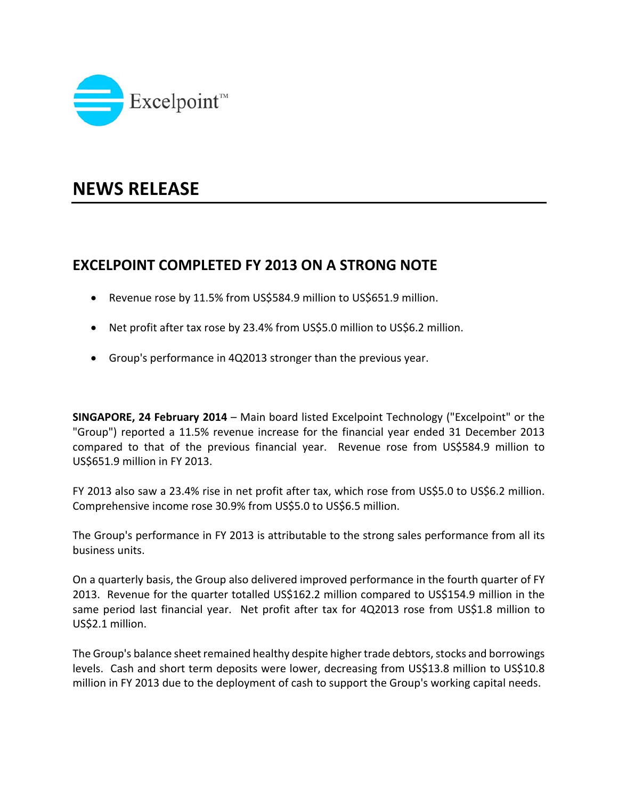

## **NEWS RELEASE**

## **EXCELPOINT COMPLETED FY 2013 ON A STRONG NOTE**

- Revenue rose by 11.5% from US\$584.9 million to US\$651.9 million.
- Net profit after tax rose by 23.4% from US\$5.0 million to US\$6.2 million.
- Group's performance in 4Q2013 stronger than the previous year.

**SINGAPORE, 24 February 2014** – Main board listed Excelpoint Technology ("Excelpoint" or the "Group") reported a 11.5% revenue increase for the financial year ended 31 December 2013 compared to that of the previous financial year. Revenue rose from US\$584.9 million to US\$651.9 million in FY 2013.

FY 2013 also saw a 23.4% rise in net profit after tax, which rose from US\$5.0 to US\$6.2 million. Comprehensive income rose 30.9% from US\$5.0 to US\$6.5 million.

The Group's performance in FY 2013 is attributable to the strong sales performance from all its business units.

On a quarterly basis, the Group also delivered improved performance in the fourth quarter of FY 2013. Revenue for the quarter totalled US\$162.2 million compared to US\$154.9 million in the same period last financial year. Net profit after tax for 4Q2013 rose from US\$1.8 million to US\$2.1 million.

The Group's balance sheet remained healthy despite higher trade debtors, stocks and borrowings levels. Cash and short term deposits were lower, decreasing from US\$13.8 million to US\$10.8 million in FY 2013 due to the deployment of cash to support the Group's working capital needs.